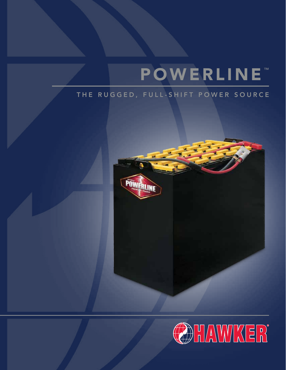# **POWERLINE™**

# THE RUGGED, FULL-SHIFT POWER SOURCE



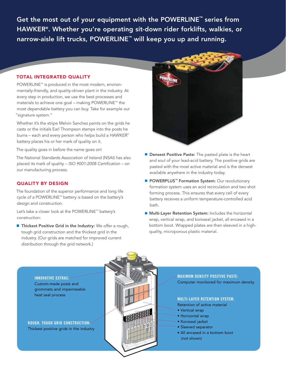Get the most out of your equipment with the POWERLINE™ series from HAWKER®. Whether you're operating sit-down rider forklifts, walkies, or narrow-aisle lift trucks, POWERLINE<sup>™</sup> will keep you up and running.

# TOTAL INTEGRATED QUALITY

POWERLINE™ is produced in the most modern, environmentally-friendly, and quality-driven plant in the industry. At every step in production, we use the best processes and materials to achieve one goal – making POWERLINE™ the most dependable battery you can buy. Take for example our "signature system."

Whether it's the stripe Melvin Sanchez paints on the grids he casts or the initials Earl Thompson stamps into the posts he burns – each and every person who helps build a HAWKER® battery places his or her mark of quality on it.

The quality goes in before the name goes on!

The National Standards Association of Ireland (NSAI) has also placed its mark of quality – *ISO 9001:2008 Certification* – on our manufacturing process.

# QUALITY BY DESIGN

The foundation of the superior performance and long life cycle of a POWERLINE™ battery is based on the battery's design and construction.

Let's take a closer look at the POWERLINE™ battery's construction:

**Thickest Positive Grid in the Industry:** We offer a rough, tough grid construction and the thickest grid in the industry. (Our grids are matched for improved current distribution through the grid network.)



- **Densest Positive Paste:** The pasted plate is the heart and soul of your lead-acid battery. The positive grids are pasted with the most active material and is the densest available anywhere in the industry today.
- POWERPLUS<sup>™</sup> Formation System: Our revolutionary formation system uses an acid recirculation and two shot forming process. This ensures that every cell of every battery receives a uniform temperature-controlled acid bath.
- **Multi-Layer Retention System:** Includes the horizontal wrap, vertical wrap, and koroseal jacket, all encased in a bottom boot. Wrapped plates are then sleeved in a highquality, microporous plastic material.



**MAXIMUM DENSITY POSITIVE PASTE:**  Computer monitored for maximum density

# **MULTI-LAYER RETENTION SYSTEM:**

- Retention of active material
- Vertical wrap
- Horizontal wrap
- Koroseal jacket
- Sleeved separator
- All encased in a bottom boot  *(not shown)*

**INNOVATIVE EXTRAS:**  Custom-made posts and grommets and impermeable heat seal process

**ROUGH, TOUGH GRID CONSTRUCTION:**  Thickest positive grids in the industry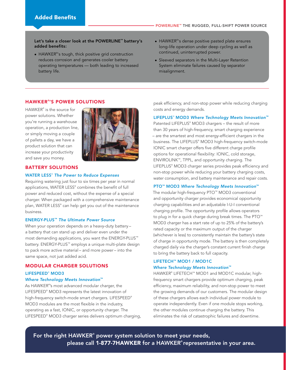# Let's take a closer look at the POWERLINE™ battery's added benefits:

- HAWKER<sup>®</sup>'s tough, thick positive grid construction reduces corrosion and generates cooler battery operating temperatures — both leading to increased battery life.
- HAWKER® 's dense positive pasted plate ensures long-life operation under deep cycling as well as continued, uninterrupted power.
- Sleeved separators in the Multi-Layer Retention System eliminate failures caused by separator misalignment.

# HAWKER ® 'S POWER SOLUTIONS

HAWKER® is the source for power solutions. Whether you're running a warehouse operation, a production line, or simply moving a couple of pallets a day, we have a product solution that can increase your productivity and save you money.



### BATTERY SOLUTIONS

#### WATER LESS® *The Power to Reduce Expenses*

Requiring watering just four to six times per year in normal applications, WATER LESS® combines the benefit of full power and reduced cost, without the expense of a special charger. When packaged with a comprehensive maintenance plan, WATER LESS® can help get you out of the maintenance business.

# ENERGY-PLUS™ *The Ultimate Power Source*

When your operation depends on a heavy-duty battery – a battery that can stand up and deliver even under the most demanding applications, you want the ENERGY-PLUS™ battery. ENERGY-PLUS™ employs a unique multi-plate design to pack more active material – and more power – into the same space, not just added acid.

# MODULAR CHARGER SOLUTIONS

# LIFESPEED® MOD3

# *Where Technology Meets Innovation*™

As HAWKER® 's most advanced modular charger, the LIFESPEED® MOD3 represents the latest innovation of high-frequency switch-mode smart chargers. LIFESPEED® MOD3 modules are the most flexible in the industry, operating as a fast, IONIC, or opportunity charger. The LIFESPEED® MOD3 charger series delivers optimum charging, peak efficiency, and non-stop power while reducing charging costs and energy demands.

#### LIFEPLUS® MOD3 *Where Technology Meets Innovation™*

Patented LIFEPLUS® MOD3 chargers – the result of more than 30 years of high-frequency, smart charging experience – are the smartest and most energy-efficient chargers in the business. The LIFEPLUS® MOD3 high-frequency switch-mode IONIC smart charger offers five different charge profile options for operational flexibility: IONIC, cold storage, ENVIROLINK™, TPPL, and opportunity charging. The LIFEPLUS® MOD3 charger series provides peak efficiency and non-stop power while reducing your battery charging costs, water consumption, and battery maintenance and repair costs.

# PTO™ MOD3 *Where Technology Meets Innovation*™

The modular high-frequency PTO™ MOD3 conventional and opportunity charger provides economical opportunity charging capabilities and an adjustable I-U-I conventional charging profile. The opportunity profile allows operators to plug in for a quick charge during break times. The PTO<sup>™</sup> MOD3 charger has a start rate of up to 25% of the battery's rated capacity or the maximum output of the charger (whichever is less) to consistently maintain the battery's state of charge in opportunity mode. The battery is then completely charged daily via the charger's constant current finish charge to bring the battery back to full capacity.

# LIFETECH™ MOD1 / MOD1C *Where Technology Meets Innovation™*

HAWKER® LIFETECH™ MOD1 and MOD1C modular, highfrequency smart chargers provide optimum charging, peak efficiency, maximum reliability, and non-stop power to meet the growing demands of our customers. The modular design of these chargers allows each individual power module to operate independently. Even if one module stops working, the other modules continue charging the battery. This eliminates the risk of catastrophic failures and downtime.

For the right HAWKER**®** power system solution to meet your needs, please call 1-877-7HAWKER for a HAWKER**®** representative in your area.